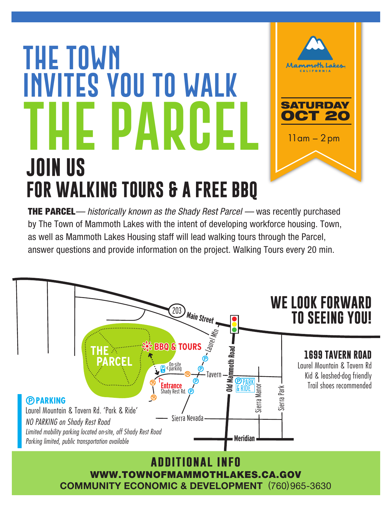## **JOIN US FOR WALKING TOURS & A FREE BBQ The Town invites you to WALK THE PARCEL**



SATURDAY **OCT 20** 

Mammoth L

 $11$ am –  $2$ pm



**COMMUNITY ECONOMIC & DEVELOPMENT** (760)965-3630